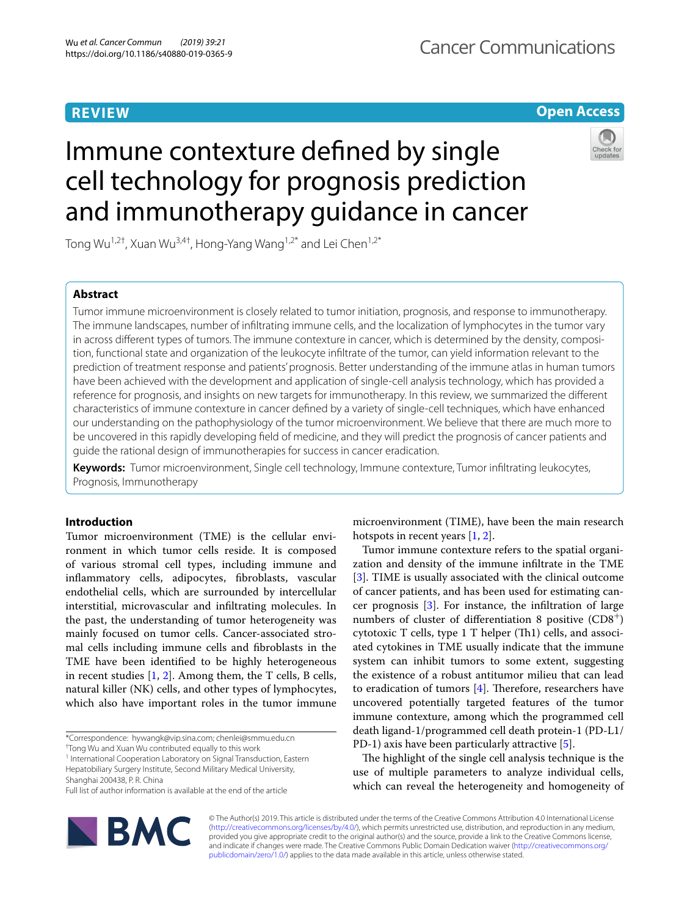# **REVIEW**

# **Open Access**

# Immune contexture defned by single cell technology for prognosis prediction and immunotherapy guidance in cancer



Tong Wu<sup>1,2†</sup>, Xuan Wu<sup>3,4†</sup>, Hong-Yang Wang<sup>1,2\*</sup> and Lei Chen<sup>1,2\*</sup>

## **Abstract**

Tumor immune microenvironment is closely related to tumor initiation, prognosis, and response to immunotherapy. The immune landscapes, number of infltrating immune cells, and the localization of lymphocytes in the tumor vary in across different types of tumors. The immune contexture in cancer, which is determined by the density, composition, functional state and organization of the leukocyte infltrate of the tumor, can yield information relevant to the prediction of treatment response and patients' prognosis. Better understanding of the immune atlas in human tumors have been achieved with the development and application of single-cell analysis technology, which has provided a reference for prognosis, and insights on new targets for immunotherapy. In this review, we summarized the diferent characteristics of immune contexture in cancer defned by a variety of single-cell techniques, which have enhanced our understanding on the pathophysiology of the tumor microenvironment. We believe that there are much more to be uncovered in this rapidly developing feld of medicine, and they will predict the prognosis of cancer patients and guide the rational design of immunotherapies for success in cancer eradication.

**Keywords:** Tumor microenvironment, Single cell technology, Immune contexture, Tumor infltrating leukocytes, Prognosis, Immunotherapy

## **Introduction**

Tumor microenvironment (TME) is the cellular environment in which tumor cells reside. It is composed of various stromal cell types, including immune and infammatory cells, adipocytes, fbroblasts, vascular endothelial cells, which are surrounded by intercellular interstitial, microvascular and infltrating molecules. In the past, the understanding of tumor heterogeneity was mainly focused on tumor cells. Cancer-associated stromal cells including immune cells and fbroblasts in the TME have been identifed to be highly heterogeneous in recent studies [[1,](#page-5-0) [2\]](#page-5-1). Among them, the T cells, B cells, natural killer (NK) cells, and other types of lymphocytes, which also have important roles in the tumor immune

<sup>1</sup> International Cooperation Laboratory on Signal Transduction, Eastern Hepatobiliary Surgery Institute, Second Military Medical University,

Shanghai 200438, P. R. China

Full list of author information is available at the end of the article



microenvironment (TIME), have been the main research hotspots in recent years [\[1](#page-5-0), [2\]](#page-5-1).

Tumor immune contexture refers to the spatial organization and density of the immune infltrate in the TME [[3\]](#page-5-2). TIME is usually associated with the clinical outcome of cancer patients, and has been used for estimating cancer prognosis [[3\]](#page-5-2). For instance, the infltration of large numbers of cluster of differentiation 8 positive  $(CD8<sup>+</sup>)$ cytotoxic  $T$  cells, type  $1 T$  helper  $(Th1)$  cells, and associated cytokines in TME usually indicate that the immune system can inhibit tumors to some extent, suggesting the existence of a robust antitumor milieu that can lead to eradication of tumors  $[4]$  $[4]$ . Therefore, researchers have uncovered potentially targeted features of the tumor immune contexture, among which the programmed cell death ligand-1/programmed cell death protein-1 (PD-L1/ PD-1) axis have been particularly attractive [\[5](#page-5-4)].

The highlight of the single cell analysis technique is the use of multiple parameters to analyze individual cells, which can reveal the heterogeneity and homogeneity of

© The Author(s) 2019. This article is distributed under the terms of the Creative Commons Attribution 4.0 International License [\(http://creativecommons.org/licenses/by/4.0/\)](http://creativecommons.org/licenses/by/4.0/), which permits unrestricted use, distribution, and reproduction in any medium, provided you give appropriate credit to the original author(s) and the source, provide a link to the Creative Commons license, and indicate if changes were made. The Creative Commons Public Domain Dedication waiver ([http://creativecommons.org/](http://creativecommons.org/publicdomain/zero/1.0/) [publicdomain/zero/1.0/](http://creativecommons.org/publicdomain/zero/1.0/)) applies to the data made available in this article, unless otherwise stated.

<sup>\*</sup>Correspondence: hywangk@vip.sina.com; chenlei@smmu.edu.cn

<sup>†</sup> Tong Wu and Xuan Wu contributed equally to this work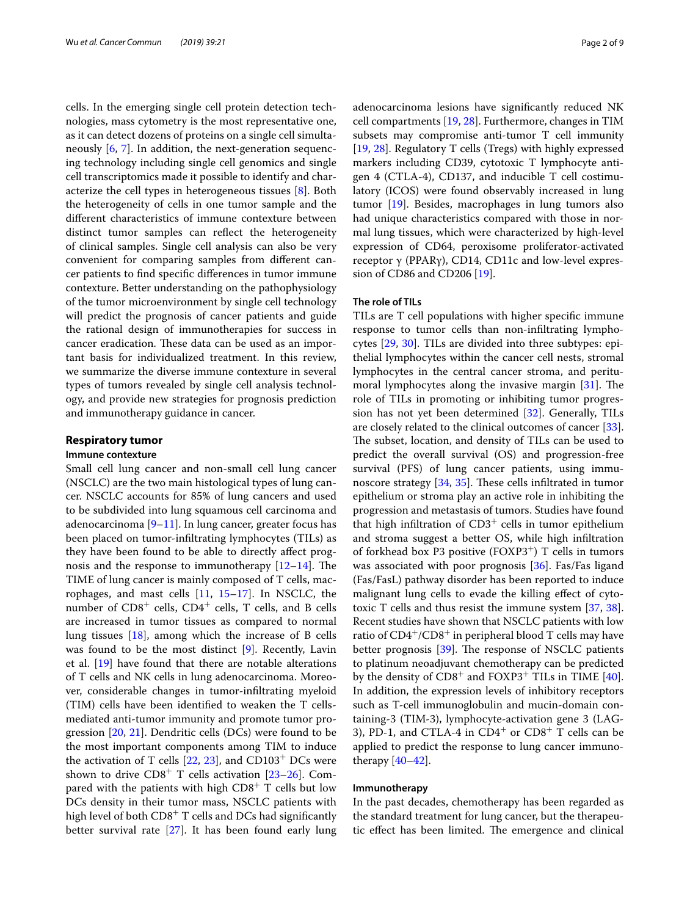cells. In the emerging single cell protein detection technologies, mass cytometry is the most representative one, as it can detect dozens of proteins on a single cell simultaneously [\[6](#page-5-5), [7\]](#page-5-6). In addition, the next-generation sequencing technology including single cell genomics and single cell transcriptomics made it possible to identify and characterize the cell types in heterogeneous tissues [\[8](#page-5-7)]. Both the heterogeneity of cells in one tumor sample and the diferent characteristics of immune contexture between distinct tumor samples can refect the heterogeneity of clinical samples. Single cell analysis can also be very convenient for comparing samples from diferent cancer patients to fnd specifc diferences in tumor immune contexture. Better understanding on the pathophysiology of the tumor microenvironment by single cell technology will predict the prognosis of cancer patients and guide the rational design of immunotherapies for success in cancer eradication. These data can be used as an important basis for individualized treatment. In this review, we summarize the diverse immune contexture in several types of tumors revealed by single cell analysis technology, and provide new strategies for prognosis prediction and immunotherapy guidance in cancer.

## **Respiratory tumor**

## **Immune contexture**

Small cell lung cancer and non-small cell lung cancer (NSCLC) are the two main histological types of lung cancer. NSCLC accounts for 85% of lung cancers and used to be subdivided into lung squamous cell carcinoma and adenocarcinoma  $[9-11]$  $[9-11]$ . In lung cancer, greater focus has been placed on tumor-infltrating lymphocytes (TILs) as they have been found to be able to directly afect prognosis and the response to immunotherapy  $[12-14]$  $[12-14]$  $[12-14]$ . The TIME of lung cancer is mainly composed of T cells, macrophages, and mast cells  $[11, 15-17]$  $[11, 15-17]$  $[11, 15-17]$  $[11, 15-17]$  $[11, 15-17]$ . In NSCLC, the number of  $CD8^+$  cells,  $CD4^+$  cells, T cells, and B cells are increased in tumor tissues as compared to normal lung tissues [[18\]](#page-6-3), among which the increase of B cells was found to be the most distinct [[9\]](#page-5-8). Recently, Lavin et al. [[19](#page-6-4)] have found that there are notable alterations of T cells and NK cells in lung adenocarcinoma. Moreover, considerable changes in tumor-infltrating myeloid (TIM) cells have been identifed to weaken the T cellsmediated anti-tumor immunity and promote tumor progression [[20,](#page-6-5) [21\]](#page-6-6). Dendritic cells (DCs) were found to be the most important components among TIM to induce the activation of T cells  $[22, 23]$  $[22, 23]$  $[22, 23]$  $[22, 23]$ , and CD103<sup>+</sup> DCs were shown to drive  $CD8^+$  T cells activation [[23–](#page-6-8)[26\]](#page-6-9). Compared with the patients with high  $CDS<sup>+</sup>$  T cells but low DCs density in their tumor mass, NSCLC patients with high level of both  $CD8<sup>+</sup>$  T cells and DCs had significantly better survival rate [[27\]](#page-6-10). It has been found early lung adenocarcinoma lesions have signifcantly reduced NK cell compartments [[19,](#page-6-4) [28\]](#page-6-11). Furthermore, changes in TIM subsets may compromise anti-tumor T cell immunity [[19,](#page-6-4) [28\]](#page-6-11). Regulatory T cells (Tregs) with highly expressed markers including CD39, cytotoxic T lymphocyte antigen 4 (CTLA-4), CD137, and inducible T cell costimulatory (ICOS) were found observably increased in lung tumor [[19\]](#page-6-4). Besides, macrophages in lung tumors also had unique characteristics compared with those in normal lung tissues, which were characterized by high-level expression of CD64, peroxisome proliferator-activated receptor γ (PPARγ), CD14, CD11c and low-level expression of CD86 and CD206 [[19](#page-6-4)].

## **The role of TILs**

TILs are T cell populations with higher specifc immune response to tumor cells than non-infltrating lymphocytes [[29,](#page-6-12) [30\]](#page-6-13). TILs are divided into three subtypes: epithelial lymphocytes within the cancer cell nests, stromal lymphocytes in the central cancer stroma, and peritumoral lymphocytes along the invasive margin  $[31]$ . The role of TILs in promoting or inhibiting tumor progression has not yet been determined [[32\]](#page-6-15). Generally, TILs are closely related to the clinical outcomes of cancer [\[33](#page-6-16)]. The subset, location, and density of TILs can be used to predict the overall survival (OS) and progression-free survival (PFS) of lung cancer patients, using immunoscore strategy  $[34, 35]$  $[34, 35]$  $[34, 35]$ . These cells infiltrated in tumor epithelium or stroma play an active role in inhibiting the progression and metastasis of tumors. Studies have found that high infiltration of  $CD3<sup>+</sup>$  cells in tumor epithelium and stroma suggest a better OS, while high infltration of forkhead box P3 positive  $(FOXP3<sup>+</sup>)$  T cells in tumors was associated with poor prognosis [[36\]](#page-6-19). Fas/Fas ligand (Fas/FasL) pathway disorder has been reported to induce malignant lung cells to evade the killing efect of cytotoxic T cells and thus resist the immune system [\[37](#page-6-20), [38](#page-6-21)]. Recent studies have shown that NSCLC patients with low ratio of  $CD4^+/CD8^+$  in peripheral blood T cells may have better prognosis  $[39]$  $[39]$ . The response of NSCLC patients to platinum neoadjuvant chemotherapy can be predicted by the density of  $CD8^+$  and  $FOXP3^+$  TILs in TIME [\[40](#page-6-23)]. In addition, the expression levels of inhibitory receptors such as T-cell immunoglobulin and mucin-domain containing-3 (TIM-3), lymphocyte-activation gene 3 (LAG-3), PD-1, and CTLA-4 in  $CD4^+$  or  $CD8^+$  T cells can be applied to predict the response to lung cancer immunotherapy  $[40-42]$  $[40-42]$ .

#### **Immunotherapy**

In the past decades, chemotherapy has been regarded as the standard treatment for lung cancer, but the therapeutic effect has been limited. The emergence and clinical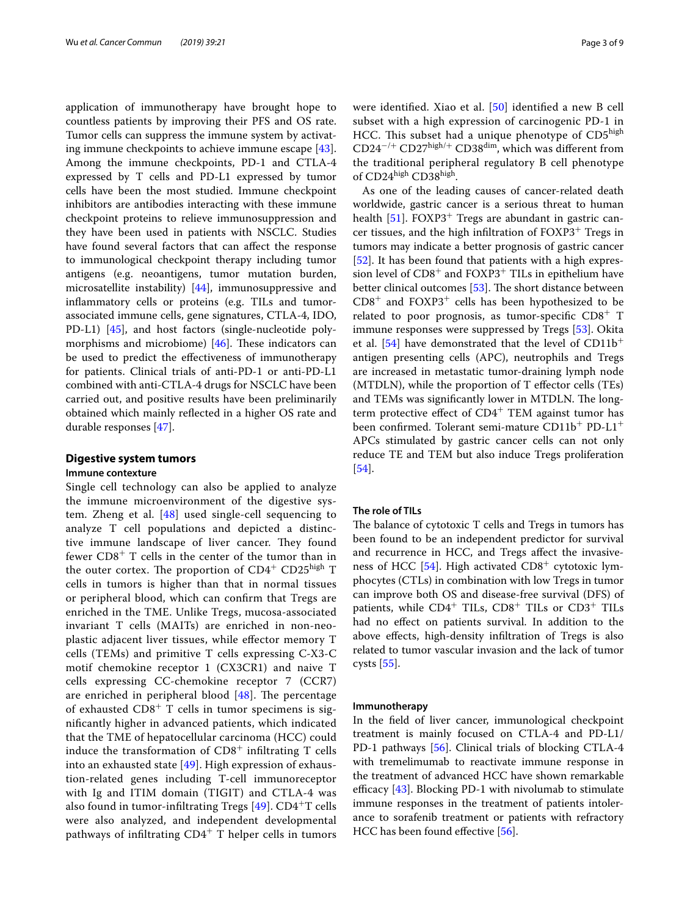application of immunotherapy have brought hope to countless patients by improving their PFS and OS rate. Tumor cells can suppress the immune system by activating immune checkpoints to achieve immune escape [\[43](#page-6-25)]. Among the immune checkpoints, PD-1 and CTLA-4 expressed by T cells and PD-L1 expressed by tumor cells have been the most studied. Immune checkpoint inhibitors are antibodies interacting with these immune checkpoint proteins to relieve immunosuppression and they have been used in patients with NSCLC. Studies have found several factors that can afect the response to immunological checkpoint therapy including tumor antigens (e.g. neoantigens, tumor mutation burden, microsatellite instability) [\[44](#page-6-26)], immunosuppressive and infammatory cells or proteins (e.g. TILs and tumorassociated immune cells, gene signatures, CTLA-4, IDO, PD-L1) [[45\]](#page-6-27), and host factors (single-nucleotide polymorphisms and microbiome)  $[46]$  $[46]$ . These indicators can be used to predict the efectiveness of immunotherapy for patients. Clinical trials of anti-PD-1 or anti-PD-L1 combined with anti-CTLA-4 drugs for NSCLC have been carried out, and positive results have been preliminarily obtained which mainly refected in a higher OS rate and durable responses [[47](#page-6-29)].

### **Digestive system tumors**

## **Immune contexture**

Single cell technology can also be applied to analyze the immune microenvironment of the digestive system. Zheng et al. [\[48](#page-7-0)] used single-cell sequencing to analyze T cell populations and depicted a distinctive immune landscape of liver cancer. They found fewer  $CD8<sup>+</sup>$  T cells in the center of the tumor than in the outer cortex. The proportion of  $CD4^+$  CD25<sup>high</sup> T cells in tumors is higher than that in normal tissues or peripheral blood, which can confrm that Tregs are enriched in the TME. Unlike Tregs, mucosa-associated invariant T cells (MAITs) are enriched in non-neoplastic adjacent liver tissues, while efector memory T cells (TEMs) and primitive T cells expressing C-X3-C motif chemokine receptor 1 (CX3CR1) and naive T cells expressing CC-chemokine receptor 7 (CCR7) are enriched in peripheral blood  $[48]$  $[48]$ . The percentage of exhausted  $CD8<sup>+</sup>$  T cells in tumor specimens is signifcantly higher in advanced patients, which indicated that the TME of hepatocellular carcinoma (HCC) could induce the transformation of  $CD8<sup>+</sup>$  infiltrating T cells into an exhausted state  $[49]$  $[49]$ . High expression of exhaustion-related genes including T-cell immunoreceptor with Ig and ITIM domain (TIGIT) and CTLA-4 was also found in tumor-infiltrating Tregs  $[49]$  $[49]$  $[49]$ . CD4<sup>+</sup>T cells were also analyzed, and independent developmental pathways of infiltrating  $CD4^+$  T helper cells in tumors were identifed. Xiao et al. [\[50](#page-7-2)] identifed a new B cell subset with a high expression of carcinogenic PD-1 in HCC. This subset had a unique phenotype of  $CD5<sup>high</sup>$ CD24<sup>−</sup>/<sup>+</sup> CD27high/<sup>+</sup> CD38dim, which was diferent from the traditional peripheral regulatory B cell phenotype of CD24high CD38high.

As one of the leading causes of cancer-related death worldwide, gastric cancer is a serious threat to human health  $[51]$  $[51]$ . FOXP3<sup>+</sup> Tregs are abundant in gastric cancer tissues, and the high infltration of FOXP3<sup>+</sup> Tregs in tumors may indicate a better prognosis of gastric cancer [[52\]](#page-7-4). It has been found that patients with a high expression level of  $CD8<sup>+</sup>$  and  $FOXP3<sup>+</sup>$  TILs in epithelium have better clinical outcomes  $[53]$  $[53]$ . The short distance between  $CD8<sup>+</sup>$  and  $FOXP3<sup>+</sup>$  cells has been hypothesized to be related to poor prognosis, as tumor-specifc CD8<sup>+</sup> T immune responses were suppressed by Tregs [\[53](#page-7-5)]. Okita et al.  $[54]$  $[54]$  $[54]$  have demonstrated that the level of CD11b<sup>+</sup> antigen presenting cells (APC), neutrophils and Tregs are increased in metastatic tumor-draining lymph node (MTDLN), while the proportion of T efector cells (TEs) and TEMs was significantly lower in MTDLN. The longterm protective effect of  $CD4^+$  TEM against tumor has been confrmed. Tolerant semi-mature CD11b+ PD-L1<sup>+</sup> APCs stimulated by gastric cancer cells can not only reduce TE and TEM but also induce Tregs proliferation [[54\]](#page-7-6).

### **The role of TILs**

The balance of cytotoxic T cells and Tregs in tumors has been found to be an independent predictor for survival and recurrence in HCC, and Tregs afect the invasiveness of HCC  $[54]$ . High activated CD8<sup>+</sup> cytotoxic lymphocytes (CTLs) in combination with low Tregs in tumor can improve both OS and disease-free survival (DFS) of patients, while  $CD4^+$  TILs,  $CD8^+$  TILs or  $CD3^+$  TILs had no efect on patients survival. In addition to the above efects, high-density infltration of Tregs is also related to tumor vascular invasion and the lack of tumor cysts [\[55](#page-7-7)].

## **Immunotherapy**

In the feld of liver cancer, immunological checkpoint treatment is mainly focused on CTLA-4 and PD-L1/ PD-1 pathways [[56](#page-7-8)]. Clinical trials of blocking CTLA-4 with tremelimumab to reactivate immune response in the treatment of advanced HCC have shown remarkable efficacy  $[43]$  $[43]$ . Blocking PD-1 with nivolumab to stimulate immune responses in the treatment of patients intolerance to sorafenib treatment or patients with refractory HCC has been found efective [\[56](#page-7-8)].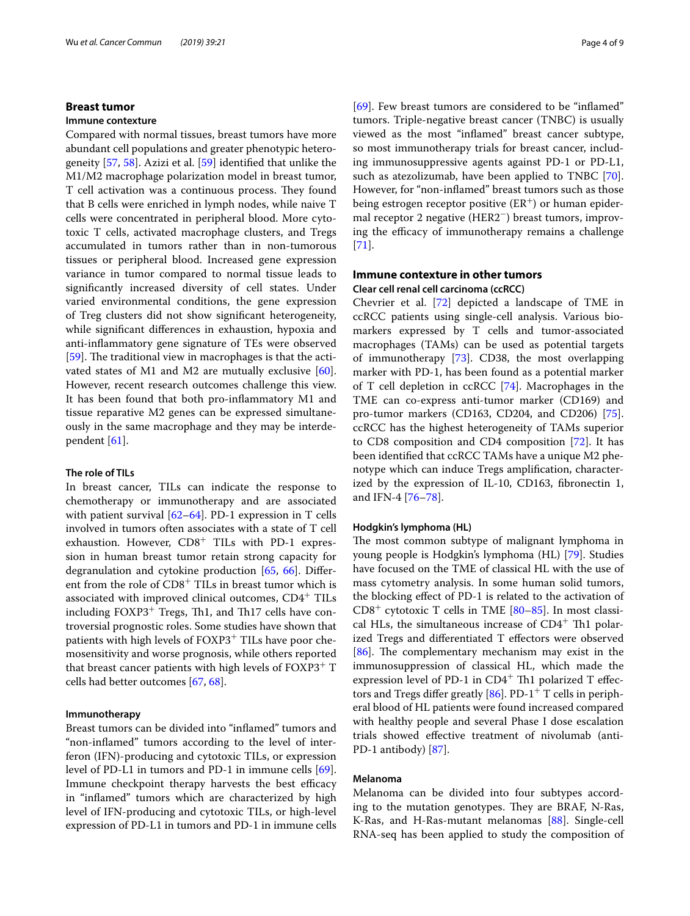## **Breast tumor**

#### **Immune contexture**

Compared with normal tissues, breast tumors have more abundant cell populations and greater phenotypic heterogeneity [[57,](#page-7-9) [58](#page-7-10)]. Azizi et al. [[59\]](#page-7-11) identifed that unlike the M1/M2 macrophage polarization model in breast tumor, T cell activation was a continuous process. They found that B cells were enriched in lymph nodes, while naive T cells were concentrated in peripheral blood. More cytotoxic T cells, activated macrophage clusters, and Tregs accumulated in tumors rather than in non-tumorous tissues or peripheral blood. Increased gene expression variance in tumor compared to normal tissue leads to signifcantly increased diversity of cell states. Under varied environmental conditions, the gene expression of Treg clusters did not show signifcant heterogeneity, while signifcant diferences in exhaustion, hypoxia and anti-infammatory gene signature of TEs were observed [[59\]](#page-7-11). The traditional view in macrophages is that the activated states of M1 and M2 are mutually exclusive [\[60](#page-7-12)]. However, recent research outcomes challenge this view. It has been found that both pro-infammatory M1 and tissue reparative M2 genes can be expressed simultaneously in the same macrophage and they may be interdependent [[61\]](#page-7-13).

#### **The role of TILs**

In breast cancer, TILs can indicate the response to chemotherapy or immunotherapy and are associated with patient survival [[62–](#page-7-14)[64](#page-7-15)]. PD-1 expression in T cells involved in tumors often associates with a state of T cell exhaustion. However, CD8<sup>+</sup> TILs with PD-1 expression in human breast tumor retain strong capacity for degranulation and cytokine production [\[65](#page-7-16), [66](#page-7-17)]. Diferent from the role of CD8<sup>+</sup> TILs in breast tumor which is associated with improved clinical outcomes, CD4+ TILs including  $FOXP3^+$  Tregs, Th1, and Th17 cells have controversial prognostic roles. Some studies have shown that patients with high levels of FOXP3<sup>+</sup> TILs have poor chemosensitivity and worse prognosis, while others reported that breast cancer patients with high levels of  $FOXP3^+$  T cells had better outcomes [\[67,](#page-7-18) [68](#page-7-19)].

#### **Immunotherapy**

Breast tumors can be divided into "infamed" tumors and "non-infamed" tumors according to the level of interferon (IFN)-producing and cytotoxic TILs, or expression level of PD-L1 in tumors and PD-1 in immune cells [\[69](#page-7-20)]. Immune checkpoint therapy harvests the best efficacy in "infamed" tumors which are characterized by high level of IFN-producing and cytotoxic TILs, or high-level expression of PD-L1 in tumors and PD-1 in immune cells [[69\]](#page-7-20). Few breast tumors are considered to be "inflamed" tumors. Triple-negative breast cancer (TNBC) is usually viewed as the most "infamed" breast cancer subtype, so most immunotherapy trials for breast cancer, including immunosuppressive agents against PD-1 or PD-L1, such as atezolizumab, have been applied to TNBC [\[70](#page-7-21)]. However, for "non-infamed" breast tumors such as those being estrogen receptor positive  $(ER^+)$  or human epidermal receptor 2 negative (HER2−) breast tumors, improving the efficacy of immunotherapy remains a challenge [[71\]](#page-7-22).

## **Immune contexture in other tumors Clear cell renal cell carcinoma (ccRCC)**

Chevrier et al. [[72\]](#page-7-23) depicted a landscape of TME in ccRCC patients using single-cell analysis. Various biomarkers expressed by T cells and tumor-associated macrophages (TAMs) can be used as potential targets of immunotherapy [\[73\]](#page-7-24). CD38, the most overlapping marker with PD-1, has been found as a potential marker of T cell depletion in ccRCC [\[74](#page-7-25)]. Macrophages in the TME can co-express anti-tumor marker (CD169) and pro-tumor markers (CD163, CD204, and CD206) [\[75](#page-7-26)]. ccRCC has the highest heterogeneity of TAMs superior to CD8 composition and CD4 composition [\[72](#page-7-23)]. It has been identifed that ccRCC TAMs have a unique M2 phenotype which can induce Tregs amplifcation, characterized by the expression of IL-10, CD163, fbronectin 1, and IFN-4 [\[76](#page-7-27)–[78\]](#page-7-28).

#### **Hodgkin's lymphoma (HL)**

The most common subtype of malignant lymphoma in young people is Hodgkin's lymphoma (HL) [\[79](#page-7-29)]. Studies have focused on the TME of classical HL with the use of mass cytometry analysis. In some human solid tumors, the blocking efect of PD-1 is related to the activation of  $CD8<sup>+</sup>$  cytotoxic T cells in TME  $[80-85]$  $[80-85]$ . In most classical HLs, the simultaneous increase of  $CD4^+$  Th1 polarized Tregs and diferentiated T efectors were observed [[86\]](#page-8-1). The complementary mechanism may exist in the immunosuppression of classical HL, which made the expression level of PD-1 in  $CD4^+$  Th1 polarized T effectors and Tregs differ greatly  $[86]$  $[86]$ . PD-1<sup>+</sup> T cells in peripheral blood of HL patients were found increased compared with healthy people and several Phase I dose escalation trials showed efective treatment of nivolumab (anti-PD-1 antibody) [\[87\]](#page-8-2).

## **Melanoma**

Melanoma can be divided into four subtypes according to the mutation genotypes. They are BRAF, N-Ras, K-Ras, and H-Ras-mutant melanomas [\[88\]](#page-8-3). Single-cell RNA-seq has been applied to study the composition of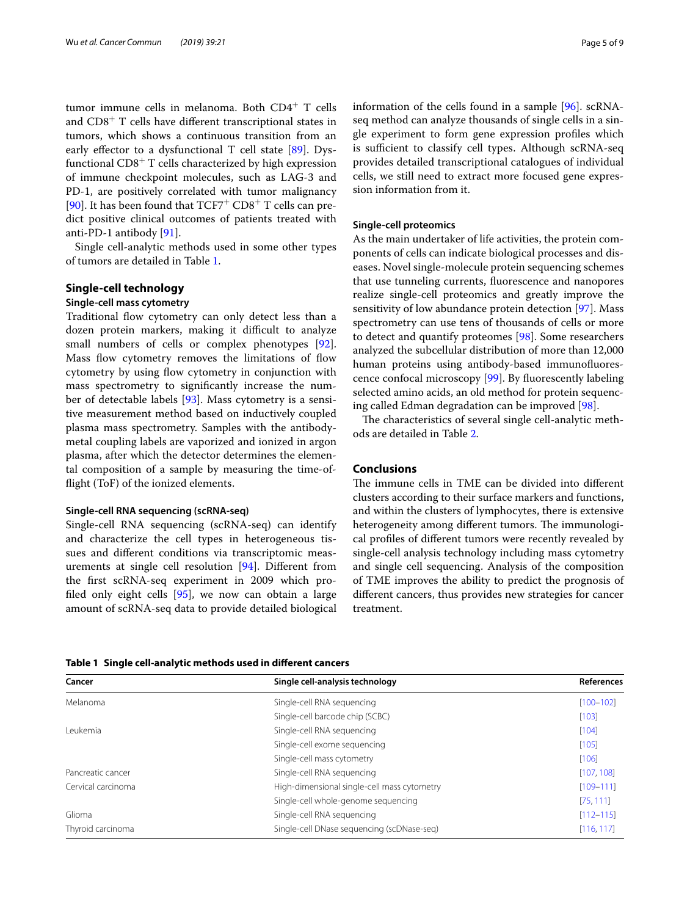tumor immune cells in melanoma. Both CD4<sup>+</sup> T cells and  $CD8<sup>+</sup>$  T cells have different transcriptional states in tumors, which shows a continuous transition from an early effector to a dysfunctional T cell state [[89](#page-8-4)]. Dysfunctional CD8<sup>+</sup> T cells characterized by high expression of immune checkpoint molecules, such as LAG-3 and PD-1, are positively correlated with tumor malignancy [[90\]](#page-8-5). It has been found that  $TCF7^+$  CD8<sup>+</sup> T cells can predict positive clinical outcomes of patients treated with anti-PD-1 antibody [\[91\]](#page-8-6).

Single cell-analytic methods used in some other types of tumors are detailed in Table [1](#page-4-0).

## **Single‑cell technology**

## **Single‑cell mass cytometry**

Traditional flow cytometry can only detect less than a dozen protein markers, making it difficult to analyze small numbers of cells or complex phenotypes [\[92](#page-8-7)]. Mass flow cytometry removes the limitations of flow cytometry by using flow cytometry in conjunction with mass spectrometry to signifcantly increase the number of detectable labels [\[93\]](#page-8-8). Mass cytometry is a sensitive measurement method based on inductively coupled plasma mass spectrometry. Samples with the antibodymetal coupling labels are vaporized and ionized in argon plasma, after which the detector determines the elemental composition of a sample by measuring the time-offight (ToF) of the ionized elements.

#### **Single‑cell RNA sequencing (scRNA‑seq)**

Single-cell RNA sequencing (scRNA-seq) can identify and characterize the cell types in heterogeneous tissues and diferent conditions via transcriptomic measurements at single cell resolution [\[94\]](#page-8-9). Diferent from the frst scRNA-seq experiment in 2009 which profled only eight cells [[95](#page-8-10)], we now can obtain a large amount of scRNA-seq data to provide detailed biological information of the cells found in a sample [[96](#page-8-11)]. scRNAseq method can analyze thousands of single cells in a single experiment to form gene expression profles which is sufficient to classify cell types. Although scRNA-seq provides detailed transcriptional catalogues of individual cells, we still need to extract more focused gene expression information from it.

## **Single‑cell proteomics**

As the main undertaker of life activities, the protein components of cells can indicate biological processes and diseases. Novel single-molecule protein sequencing schemes that use tunneling currents, fuorescence and nanopores realize single-cell proteomics and greatly improve the sensitivity of low abundance protein detection [\[97](#page-8-12)]. Mass spectrometry can use tens of thousands of cells or more to detect and quantify proteomes [\[98](#page-8-13)]. Some researchers analyzed the subcellular distribution of more than 12,000 human proteins using antibody-based immunofuorescence confocal microscopy [[99\]](#page-8-14). By fuorescently labeling selected amino acids, an old method for protein sequencing called Edman degradation can be improved [\[98](#page-8-13)].

The characteristics of several single cell-analytic methods are detailed in Table [2](#page-5-11).

## **Conclusions**

The immune cells in TME can be divided into different clusters according to their surface markers and functions, and within the clusters of lymphocytes, there is extensive heterogeneity among different tumors. The immunological profles of diferent tumors were recently revealed by single-cell analysis technology including mass cytometry and single cell sequencing. Analysis of the composition of TME improves the ability to predict the prognosis of diferent cancers, thus provides new strategies for cancer treatment.

<span id="page-4-0"></span>**Table 1 Single cell-analytic methods used in diferent cancers**

| Cancer             | Single cell-analysis technology                          | <b>References</b> |
|--------------------|----------------------------------------------------------|-------------------|
| Melanoma           | Single-cell RNA sequencing                               | $[100 - 102]$     |
|                    | Single-cell barcode chip (SCBC)                          | [103]             |
| Leukemia           | Single-cell RNA sequencing                               | [104]             |
|                    | Single-cell exome sequencing                             | [105]             |
|                    | Single-cell mass cytometry                               | [106]             |
| Pancreatic cancer  | Single-cell RNA sequencing                               | [107, 108]        |
| Cervical carcinoma | High-dimensional single-cell mass cytometry              | $[109 - 111]$     |
|                    | Single-cell whole-genome sequencing                      | [75, 111]         |
| Glioma             | Single-cell RNA sequencing                               | $[112 - 115]$     |
| Thyroid carcinoma  | Single-cell DNase sequencing (scDNase-seg)<br>[116, 117] |                   |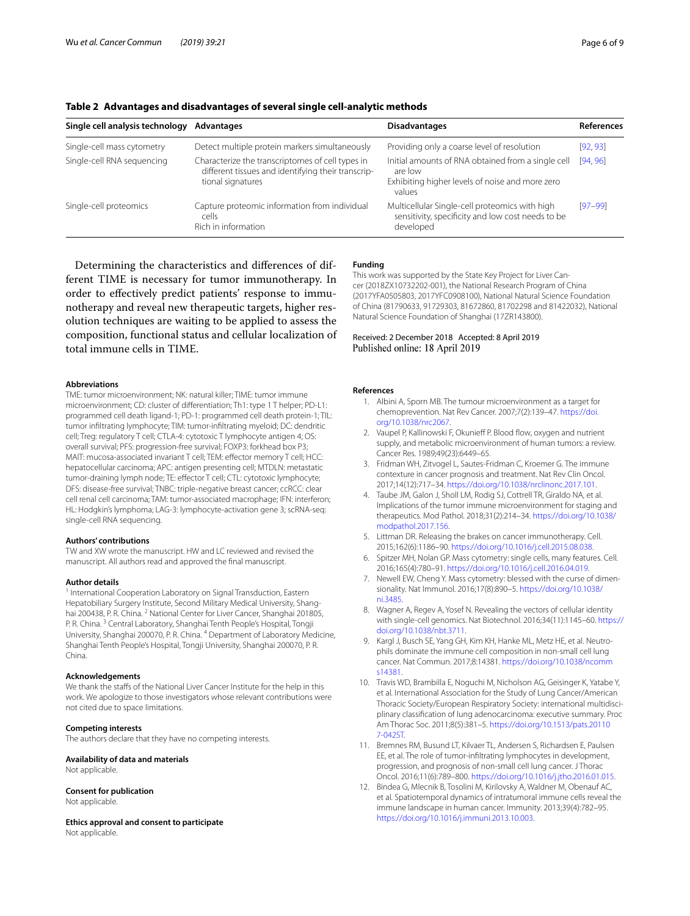| Single cell analysis technology | Advantages                                                                                                                  | <b>Disadvantages</b>                                                                                                       | References |
|---------------------------------|-----------------------------------------------------------------------------------------------------------------------------|----------------------------------------------------------------------------------------------------------------------------|------------|
| Single-cell mass cytometry      | Detect multiple protein markers simultaneously                                                                              | Providing only a coarse level of resolution                                                                                | [92, 93]   |
| Single-cell RNA sequencing      | Characterize the transcriptomes of cell types in<br>different tissues and identifying their transcrip-<br>tional signatures | Initial amounts of RNA obtained from a single cell<br>are low<br>Exhibiting higher levels of noise and more zero<br>values | [94, 96]   |
| Single-cell proteomics          | Capture proteomic information from individual<br>cells<br>Rich in information                                               | Multicellular Single-cell proteomics with high<br>sensitivity, specificity and low cost needs to be<br>developed           | $[97-99]$  |

## <span id="page-5-11"></span>**Table 2 Advantages and disadvantages of several single cell-analytic methods**

Determining the characteristics and diferences of different TIME is necessary for tumor immunotherapy. In order to efectively predict patients' response to immunotherapy and reveal new therapeutic targets, higher resolution techniques are waiting to be applied to assess the composition, functional status and cellular localization of total immune cells in TIME.

#### **Abbreviations**

TME: tumor microenvironment; NK: natural killer; TIME: tumor immune microenvironment; CD: cluster of diferentiation; Th1: type 1 T helper; PD-L1: programmed cell death ligand-1; PD-1: programmed cell death protein-1; TIL: tumor infltrating lymphocyte; TIM: tumor-infltrating myeloid; DC: dendritic cell; Treg: regulatory T cell; CTLA-4: cytotoxic T lymphocyte antigen 4; OS: overall survival; PFS: progression-free survival; FOXP3: forkhead box P3; MAIT: mucosa-associated invariant T cell; TEM: efector memory T cell; HCC: hepatocellular carcinoma; APC: antigen presenting cell; MTDLN: metastatic tumor-draining lymph node; TE: efector T cell; CTL: cytotoxic lymphocyte; DFS: disease-free survival; TNBC: triple-negative breast cancer; ccRCC: clear cell renal cell carcinoma; TAM: tumor-associated macrophage; IFN: interferon; HL: Hodgkin's lymphoma; LAG-3: lymphocyte-activation gene 3; scRNA-seq: single-cell RNA sequencing.

#### **Authors' contributions**

TW and XW wrote the manuscript. HW and LC reviewed and revised the manuscript. All authors read and approved the fnal manuscript.

#### **Author details**

International Cooperation Laboratory on Signal Transduction, Eastern Hepatobiliary Surgery Institute, Second Military Medical University, Shanghai 200438, P. R. China. <sup>2</sup> National Center for Liver Cancer, Shanghai 201805, P. R. China. 3 Central Laboratory, Shanghai Tenth People's Hospital, Tongji University, Shanghai 200070, P. R. China. <sup>4</sup> Department of Laboratory Medicine, Shanghai Tenth People's Hospital, Tongji University, Shanghai 200070, P. R. China.

#### **Acknowledgements**

We thank the staffs of the National Liver Cancer Institute for the help in this work. We apologize to those investigators whose relevant contributions were not cited due to space limitations.

#### **Competing interests**

The authors declare that they have no competing interests.

## **Availability of data and materials**

Not applicable.

#### **Consent for publication**

Not applicable.

**Ethics approval and consent to participate** Not applicable.

#### **Funding**

This work was supported by the State Key Project for Liver Cancer (2018ZX10732202-001), the National Research Program of China (2017YFA0505803, 2017YFC0908100), National Natural Science Foundation of China (81790633, 91729303, 81672860, 81702298 and 81422032), National Natural Science Foundation of Shanghai (17ZR143800).

#### Received: 2 December 2018 Accepted: 8 April 2019 Published online: 18 April 2019

#### <span id="page-5-0"></span>**References**

- 1. Albini A, Sporn MB. The tumour microenvironment as a target for chemoprevention. Nat Rev Cancer. 2007;7(2):139–47. [https://doi.](https://doi.org/10.1038/nrc2067) [org/10.1038/nrc2067](https://doi.org/10.1038/nrc2067).
- <span id="page-5-1"></span>2. Vaupel P, Kallinowski F, Okunieff P. Blood flow, oxygen and nutrient supply, and metabolic microenvironment of human tumors: a review. Cancer Res. 1989;49(23):6449–65.
- <span id="page-5-2"></span>3. Fridman WH, Zitvogel L, Sautes-Fridman C, Kroemer G. The immune contexture in cancer prognosis and treatment. Nat Rev Clin Oncol. 2017;14(12):717–34.<https://doi.org/10.1038/nrclinonc.2017.101>.
- <span id="page-5-3"></span>4. Taube JM, Galon J, Sholl LM, Rodig SJ, Cottrell TR, Giraldo NA, et al. Implications of the tumor immune microenvironment for staging and therapeutics. Mod Pathol. 2018;31(2):214–34. [https://doi.org/10.1038/](https://doi.org/10.1038/modpathol.2017.156) [modpathol.2017.156](https://doi.org/10.1038/modpathol.2017.156).
- <span id="page-5-4"></span>5. Littman DR. Releasing the brakes on cancer immunotherapy. Cell. 2015;162(6):1186–90. <https://doi.org/10.1016/j.cell.2015.08.038>.
- <span id="page-5-5"></span>6. Spitzer MH, Nolan GP. Mass cytometry: single cells, many features. Cell. 2016;165(4):780–91. [https://doi.org/10.1016/j.cell.2016.04.019.](https://doi.org/10.1016/j.cell.2016.04.019)
- <span id="page-5-6"></span>7. Newell EW, Cheng Y. Mass cytometry: blessed with the curse of dimensionality. Nat Immunol. 2016;17(8):890–5. [https://doi.org/10.1038/](https://doi.org/10.1038/ni.3485) [ni.3485.](https://doi.org/10.1038/ni.3485)
- <span id="page-5-7"></span>8. Wagner A, Regev A, Yosef N. Revealing the vectors of cellular identity with single-cell genomics. Nat Biotechnol. 2016;34(11):1145–60. [https://](https://doi.org/10.1038/nbt.3711) [doi.org/10.1038/nbt.3711](https://doi.org/10.1038/nbt.3711).
- <span id="page-5-8"></span>9. Kargl J, Busch SE, Yang GH, Kim KH, Hanke ML, Metz HE, et al. Neutrophils dominate the immune cell composition in non-small cell lung cancer. Nat Commun. 2017;8:14381. [https://doi.org/10.1038/ncomm](https://doi.org/10.1038/ncomms14381) [s14381](https://doi.org/10.1038/ncomms14381).
- 10. Travis WD, Brambilla E, Noguchi M, Nicholson AG, Geisinger K, Yatabe Y, et al. International Association for the Study of Lung Cancer/American Thoracic Society/European Respiratory Society: international multidisciplinary classifcation of lung adenocarcinoma: executive summary. Proc Am Thorac Soc. 2011;8(5):381–5. [https://doi.org/10.1513/pats.20110](https://doi.org/10.1513/pats.201107-042ST) [7-042ST.](https://doi.org/10.1513/pats.201107-042ST)
- <span id="page-5-9"></span>11. Bremnes RM, Busund LT, Kilvaer TL, Andersen S, Richardsen E, Paulsen EE, et al. The role of tumor-infltrating lymphocytes in development, progression, and prognosis of non-small cell lung cancer. J Thorac Oncol. 2016;11(6):789–800.<https://doi.org/10.1016/j.jtho.2016.01.015>.
- <span id="page-5-10"></span>12. Bindea G, Mlecnik B, Tosolini M, Kirilovsky A, Waldner M, Obenauf AC, et al. Spatiotemporal dynamics of intratumoral immune cells reveal the immune landscape in human cancer. Immunity. 2013;39(4):782–95. <https://doi.org/10.1016/j.immuni.2013.10.003>.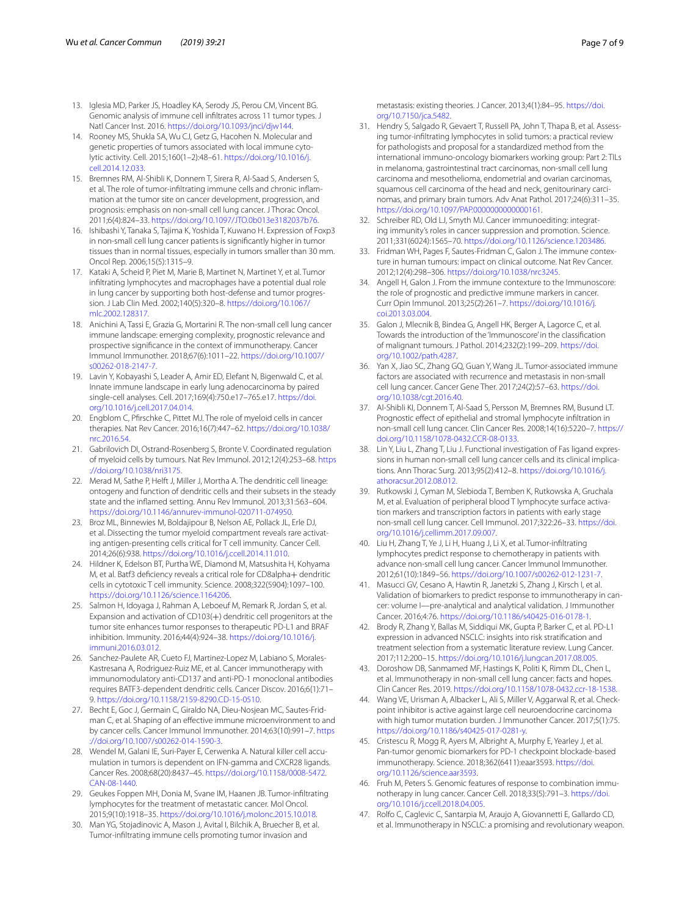- 13. Iglesia MD, Parker JS, Hoadley KA, Serody JS, Perou CM, Vincent BG. Genomic analysis of immune cell infltrates across 11 tumor types. J Natl Cancer Inst. 2016. [https://doi.org/10.1093/jnci/djw144.](https://doi.org/10.1093/jnci/djw144)
- <span id="page-6-0"></span>14. Rooney MS, Shukla SA, Wu CJ, Getz G, Hacohen N. Molecular and genetic properties of tumors associated with local immune cytolytic activity. Cell. 2015;160(1–2):48–61. [https://doi.org/10.1016/j.](https://doi.org/10.1016/j.cell.2014.12.033) [cell.2014.12.033](https://doi.org/10.1016/j.cell.2014.12.033).
- <span id="page-6-1"></span>15. Bremnes RM, Al-Shibli K, Donnem T, Sirera R, Al-Saad S, Andersen S, et al. The role of tumor-infiltrating immune cells and chronic inflammation at the tumor site on cancer development, progression, and prognosis: emphasis on non-small cell lung cancer. J Thorac Oncol. 2011;6(4):824–33. <https://doi.org/10.1097/JTO.0b013e3182037b76>.
- 16. Ishibashi Y, Tanaka S, Tajima K, Yoshida T, Kuwano H. Expression of Foxp3 in non-small cell lung cancer patients is signifcantly higher in tumor tissues than in normal tissues, especially in tumors smaller than 30 mm. Oncol Rep. 2006;15(5):1315–9.
- <span id="page-6-2"></span>17. Kataki A, Scheid P, Piet M, Marie B, Martinet N, Martinet Y, et al. Tumor infltrating lymphocytes and macrophages have a potential dual role in lung cancer by supporting both host-defense and tumor progression. J Lab Clin Med. 2002;140(5):320–8. [https://doi.org/10.1067/](https://doi.org/10.1067/mlc.2002.128317) [mlc.2002.128317](https://doi.org/10.1067/mlc.2002.128317).
- <span id="page-6-3"></span>18. Anichini A, Tassi E, Grazia G, Mortarini R. The non-small cell lung cancer immune landscape: emerging complexity, prognostic relevance and prospective signifcance in the context of immunotherapy. Cancer Immunol Immunother. 2018;67(6):1011–22. [https://doi.org/10.1007/](https://doi.org/10.1007/s00262-018-2147-7) [s00262-018-2147-7](https://doi.org/10.1007/s00262-018-2147-7).
- <span id="page-6-4"></span>19. Lavin Y, Kobayashi S, Leader A, Amir ED, Elefant N, Bigenwald C, et al. Innate immune landscape in early lung adenocarcinoma by paired single-cell analyses. Cell. 2017;169(4):750.e17–765.e17. [https://doi.](https://doi.org/10.1016/j.cell.2017.04.014) [org/10.1016/j.cell.2017.04.014.](https://doi.org/10.1016/j.cell.2017.04.014)
- <span id="page-6-5"></span>20. Engblom C, Pfrschke C, Pittet MJ. The role of myeloid cells in cancer therapies. Nat Rev Cancer. 2016;16(7):447–62. [https://doi.org/10.1038/](https://doi.org/10.1038/nrc.2016.54) [nrc.2016.54](https://doi.org/10.1038/nrc.2016.54).
- <span id="page-6-6"></span>21. Gabrilovich DI, Ostrand-Rosenberg S, Bronte V. Coordinated regulation of myeloid cells by tumours. Nat Rev Immunol. 2012;12(4):253–68. [https](https://doi.org/10.1038/nri3175) [://doi.org/10.1038/nri3175](https://doi.org/10.1038/nri3175).
- <span id="page-6-7"></span>22. Merad M, Sathe P, Helft J, Miller J, Mortha A. The dendritic cell lineage: ontogeny and function of dendritic cells and their subsets in the steady state and the infamed setting. Annu Rev Immunol. 2013;31:563–604. [https://doi.org/10.1146/annurev-immunol-020711-074950.](https://doi.org/10.1146/annurev-immunol-020711-074950)
- <span id="page-6-8"></span>23. Broz ML, Binnewies M, Boldajipour B, Nelson AE, Pollack JL, Erle DJ, et al. Dissecting the tumor myeloid compartment reveals rare activating antigen-presenting cells critical for T cell immunity. Cancer Cell. 2014;26(6):938.<https://doi.org/10.1016/j.ccell.2014.11.010>.
- 24. Hildner K, Edelson BT, Purtha WE, Diamond M, Matsushita H, Kohyama M, et al. Batf3 defciency reveals a critical role for CD8alpha+ dendritic cells in cytotoxic T cell immunity. Science. 2008;322(5904):1097–100. <https://doi.org/10.1126/science.1164206>.
- 25. Salmon H, Idoyaga J, Rahman A, Leboeuf M, Remark R, Jordan S, et al. Expansion and activation of CD103(+) dendritic cell progenitors at the tumor site enhances tumor responses to therapeutic PD-L1 and BRAF inhibition. Immunity. 2016;44(4):924–38. [https://doi.org/10.1016/j.](https://doi.org/10.1016/j.immuni.2016.03.012) [immuni.2016.03.012](https://doi.org/10.1016/j.immuni.2016.03.012).
- <span id="page-6-9"></span>26. Sanchez-Paulete AR, Cueto FJ, Martinez-Lopez M, Labiano S, Morales-Kastresana A, Rodriguez-Ruiz ME, et al. Cancer immunotherapy with immunomodulatory anti-CD137 and anti-PD-1 monoclonal antibodies requires BATF3-dependent dendritic cells. Cancer Discov. 2016;6(1):71– 9. <https://doi.org/10.1158/2159-8290.CD-15-0510>.
- <span id="page-6-10"></span>27. Becht E, Goc J, Germain C, Giraldo NA, Dieu-Nosjean MC, Sautes-Fridman C, et al. Shaping of an efective immune microenvironment to and by cancer cells. Cancer Immunol Immunother. 2014;63(10):991–7. [https](https://doi.org/10.1007/s00262-014-1590-3) [://doi.org/10.1007/s00262-014-1590-3.](https://doi.org/10.1007/s00262-014-1590-3)
- <span id="page-6-11"></span>Wendel M, Galani IE, Suri-Payer E, Cerwenka A. Natural killer cell accumulation in tumors is dependent on IFN-gamma and CXCR28 ligands. Cancer Res. 2008;68(20):8437–45. [https://doi.org/10.1158/0008-5472.](https://doi.org/10.1158/0008-5472.CAN-08-1440) [CAN-08-1440](https://doi.org/10.1158/0008-5472.CAN-08-1440).
- <span id="page-6-12"></span>29. Geukes Foppen MH, Donia M, Svane IM, Haanen JB. Tumor-infltrating lymphocytes for the treatment of metastatic cancer. Mol Oncol. 2015;9(10):1918–35. [https://doi.org/10.1016/j.molonc.2015.10.018.](https://doi.org/10.1016/j.molonc.2015.10.018)
- <span id="page-6-13"></span>Man YG, Stojadinovic A, Mason J, Avital I, Bilchik A, Bruecher B, et al. Tumor-infltrating immune cells promoting tumor invasion and

metastasis: existing theories. J Cancer. 2013;4(1):84–95. [https://doi.](https://doi.org/10.7150/jca.5482) [org/10.7150/jca.5482](https://doi.org/10.7150/jca.5482).

- <span id="page-6-14"></span>31. Hendry S, Salgado R, Gevaert T, Russell PA, John T, Thapa B, et al. Assessing tumor-infltrating lymphocytes in solid tumors: a practical review for pathologists and proposal for a standardized method from the international immuno-oncology biomarkers working group: Part 2: TILs in melanoma, gastrointestinal tract carcinomas, non-small cell lung carcinoma and mesothelioma, endometrial and ovarian carcinomas, squamous cell carcinoma of the head and neck, genitourinary carcinomas, and primary brain tumors. Adv Anat Pathol. 2017;24(6):311–35. <https://doi.org/10.1097/PAP.0000000000000161>.
- <span id="page-6-15"></span>32. Schreiber RD, Old LJ, Smyth MJ. Cancer immunoediting: integrating immunity's roles in cancer suppression and promotion. Science. 2011;331(6024):1565–70. [https://doi.org/10.1126/science.1203486.](https://doi.org/10.1126/science.1203486)
- <span id="page-6-16"></span>33. Fridman WH, Pages F, Sautes-Fridman C, Galon J. The immune contexture in human tumours: impact on clinical outcome. Nat Rev Cancer. 2012;12(4):298–306.<https://doi.org/10.1038/nrc3245>.
- <span id="page-6-17"></span>34. Angell H, Galon J. From the immune contexture to the Immunoscore: the role of prognostic and predictive immune markers in cancer. Curr Opin Immunol. 2013;25(2):261–7. [https://doi.org/10.1016/j.](https://doi.org/10.1016/j.coi.2013.03.004) [coi.2013.03.004](https://doi.org/10.1016/j.coi.2013.03.004).
- <span id="page-6-18"></span>35. Galon J, Mlecnik B, Bindea G, Angell HK, Berger A, Lagorce C, et al. Towards the introduction of the 'Immunoscore' in the classifcation of malignant tumours. J Pathol. 2014;232(2):199–209. [https://doi.](https://doi.org/10.1002/path.4287) [org/10.1002/path.4287.](https://doi.org/10.1002/path.4287)
- <span id="page-6-19"></span>36. Yan X, Jiao SC, Zhang GQ, Guan Y, Wang JL. Tumor-associated immune factors are associated with recurrence and metastasis in non-small cell lung cancer. Cancer Gene Ther. 2017;24(2):57–63. [https://doi.](https://doi.org/10.1038/cgt.2016.40) [org/10.1038/cgt.2016.40](https://doi.org/10.1038/cgt.2016.40).
- <span id="page-6-20"></span>37. Al-Shibli KI, Donnem T, Al-Saad S, Persson M, Bremnes RM, Busund LT. Prognostic efect of epithelial and stromal lymphocyte infltration in non-small cell lung cancer. Clin Cancer Res. 2008;14(16):5220–7. [https://](https://doi.org/10.1158/1078-0432.CCR-08-0133) [doi.org/10.1158/1078-0432.CCR-08-0133](https://doi.org/10.1158/1078-0432.CCR-08-0133).
- <span id="page-6-21"></span>38. Lin Y, Liu L, Zhang T, Liu J. Functional investigation of Fas ligand expressions in human non-small cell lung cancer cells and its clinical implications. Ann Thorac Surg. 2013;95(2):412–8. [https://doi.org/10.1016/j.](https://doi.org/10.1016/j.athoracsur.2012.08.012) [athoracsur.2012.08.012](https://doi.org/10.1016/j.athoracsur.2012.08.012).
- <span id="page-6-22"></span>39. Rutkowski J, Cyman M, Slebioda T, Bemben K, Rutkowska A, Gruchala M, et al. Evaluation of peripheral blood T lymphocyte surface activation markers and transcription factors in patients with early stage non-small cell lung cancer. Cell Immunol. 2017;322:26–33. [https://doi.](https://doi.org/10.1016/j.cellimm.2017.09.007) [org/10.1016/j.cellimm.2017.09.007.](https://doi.org/10.1016/j.cellimm.2017.09.007)
- <span id="page-6-23"></span>40. Liu H, Zhang T, Ye J, Li H, Huang J, Li X, et al. Tumor-infltrating lymphocytes predict response to chemotherapy in patients with advance non-small cell lung cancer. Cancer Immunol Immunother. 2012;61(10):1849–56. [https://doi.org/10.1007/s00262-012-1231-7.](https://doi.org/10.1007/s00262-012-1231-7)
- 41. Masucci GV, Cesano A, Hawtin R, Janetzki S, Zhang J, Kirsch I, et al. Validation of biomarkers to predict response to immunotherapy in cancer: volume I—pre-analytical and analytical validation. J Immunother Cancer. 2016;4:76.<https://doi.org/10.1186/s40425-016-0178-1>.
- <span id="page-6-24"></span>42. Brody R, Zhang Y, Ballas M, Siddiqui MK, Gupta P, Barker C, et al. PD-L1 expression in advanced NSCLC: insights into risk stratifcation and treatment selection from a systematic literature review. Lung Cancer. 2017;112:200–15.<https://doi.org/10.1016/j.lungcan.2017.08.005>.
- <span id="page-6-25"></span>43. Doroshow DB, Sanmamed MF, Hastings K, Politi K, Rimm DL, Chen L, et al. Immunotherapy in non-small cell lung cancer: facts and hopes. Clin Cancer Res. 2019. <https://doi.org/10.1158/1078-0432.ccr-18-1538>.
- <span id="page-6-26"></span>44. Wang VE, Urisman A, Albacker L, Ali S, Miller V, Aggarwal R, et al. Checkpoint inhibitor is active against large cell neuroendocrine carcinoma with high tumor mutation burden. J Immunother Cancer. 2017;5(1):75. <https://doi.org/10.1186/s40425-017-0281-y>.
- <span id="page-6-27"></span>45. Cristescu R, Mogg R, Ayers M, Albright A, Murphy E, Yearley J, et al. Pan-tumor genomic biomarkers for PD-1 checkpoint blockade-based immunotherapy. Science. 2018;362(6411):eaar3593. [https://doi.](https://doi.org/10.1126/science.aar3593) [org/10.1126/science.aar3593](https://doi.org/10.1126/science.aar3593).
- <span id="page-6-28"></span>46. Fruh M, Peters S. Genomic features of response to combination immunotherapy in lung cancer. Cancer Cell. 2018;33(5):791–3. [https://doi.](https://doi.org/10.1016/j.ccell.2018.04.005) [org/10.1016/j.ccell.2018.04.005](https://doi.org/10.1016/j.ccell.2018.04.005).
- <span id="page-6-29"></span>47. Rolfo C, Caglevic C, Santarpia M, Araujo A, Giovannetti E, Gallardo CD, et al. Immunotherapy in NSCLC: a promising and revolutionary weapon.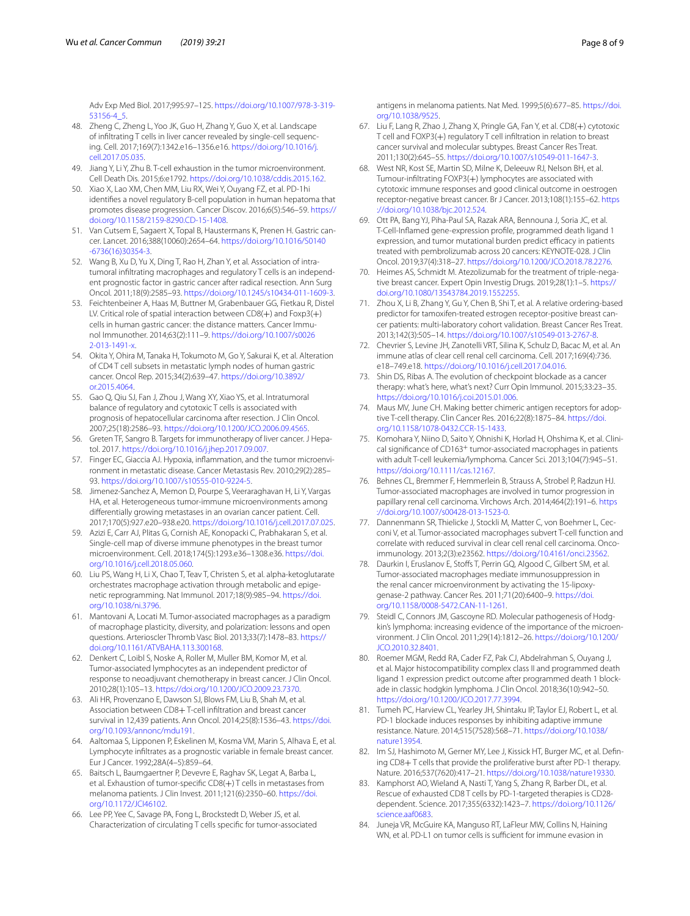Adv Exp Med Biol. 2017;995:97–125. [https://doi.org/10.1007/978-3-319-](https://doi.org/10.1007/978-3-319-53156-4_5)[53156-4\\_5.](https://doi.org/10.1007/978-3-319-53156-4_5)

- <span id="page-7-0"></span>48. Zheng C, Zheng L, Yoo JK, Guo H, Zhang Y, Guo X, et al. Landscape of infiltrating T cells in liver cancer revealed by single-cell sequencing. Cell. 2017;169(7):1342.e16–1356.e16. [https://doi.org/10.1016/j.](https://doi.org/10.1016/j.cell.2017.05.035) [cell.2017.05.035](https://doi.org/10.1016/j.cell.2017.05.035).
- <span id="page-7-1"></span>49. Jiang Y, Li Y, Zhu B. T-cell exhaustion in the tumor microenvironment. Cell Death Dis. 2015;6:e1792. [https://doi.org/10.1038/cddis.2015.162.](https://doi.org/10.1038/cddis.2015.162)
- <span id="page-7-2"></span>50. Xiao X, Lao XM, Chen MM, Liu RX, Wei Y, Ouyang FZ, et al. PD-1hi identifes a novel regulatory B-cell population in human hepatoma that promotes disease progression. Cancer Discov. 2016;6(5):546–59. [https://](https://doi.org/10.1158/2159-8290.CD-15-1408) [doi.org/10.1158/2159-8290.CD-15-1408](https://doi.org/10.1158/2159-8290.CD-15-1408).
- <span id="page-7-3"></span>51. Van Cutsem E, Sagaert X, Topal B, Haustermans K, Prenen H. Gastric cancer. Lancet. 2016;388(10060):2654–64. [https://doi.org/10.1016/S0140](https://doi.org/10.1016/S0140-6736(16)30354-3) [-6736\(16\)30354-3.](https://doi.org/10.1016/S0140-6736(16)30354-3)
- <span id="page-7-4"></span>52. Wang B, Xu D, Yu X, Ding T, Rao H, Zhan Y, et al. Association of intratumoral infiltrating macrophages and regulatory T cells is an independent prognostic factor in gastric cancer after radical resection. Ann Surg Oncol. 2011;18(9):2585–93. [https://doi.org/10.1245/s10434-011-1609-3.](https://doi.org/10.1245/s10434-011-1609-3)
- <span id="page-7-5"></span>53. Feichtenbeiner A, Haas M, Buttner M, Grabenbauer GG, Fietkau R, Distel LV. Critical role of spatial interaction between CD8(+) and Foxp3(+) cells in human gastric cancer: the distance matters. Cancer Immunol Immunother. 2014;63(2):111–9. [https://doi.org/10.1007/s0026](https://doi.org/10.1007/s00262-013-1491-x) [2-013-1491-x](https://doi.org/10.1007/s00262-013-1491-x).
- <span id="page-7-6"></span>54. Okita Y, Ohira M, Tanaka H, Tokumoto M, Go Y, Sakurai K, et al. Alteration of CD4 T cell subsets in metastatic lymph nodes of human gastric cancer. Oncol Rep. 2015;34(2):639–47. [https://doi.org/10.3892/](https://doi.org/10.3892/or.2015.4064) [or.2015.4064](https://doi.org/10.3892/or.2015.4064).
- <span id="page-7-7"></span>55. Gao Q, Qiu SJ, Fan J, Zhou J, Wang XY, Xiao YS, et al. Intratumoral balance of regulatory and cytotoxic T cells is associated with prognosis of hepatocellular carcinoma after resection. J Clin Oncol. 2007;25(18):2586–93. [https://doi.org/10.1200/JCO.2006.09.4565.](https://doi.org/10.1200/JCO.2006.09.4565)
- <span id="page-7-8"></span>56. Greten TF, Sangro B. Targets for immunotherapy of liver cancer. J Hepatol. 2017.<https://doi.org/10.1016/j.jhep.2017.09.007>.
- <span id="page-7-9"></span>57. Finger EC, Giaccia AJ. Hypoxia, inflammation, and the tumor microenvironment in metastatic disease. Cancer Metastasis Rev. 2010;29(2):285– 93.<https://doi.org/10.1007/s10555-010-9224-5>.
- <span id="page-7-10"></span>58. Jimenez-Sanchez A, Memon D, Pourpe S, Veeraraghavan H, Li Y, Vargas HA, et al. Heterogeneous tumor-immune microenvironments among diferentially growing metastases in an ovarian cancer patient. Cell. 2017;170(5):927.e20–938.e20. [https://doi.org/10.1016/j.cell.2017.07.025.](https://doi.org/10.1016/j.cell.2017.07.025)
- <span id="page-7-11"></span>59. Azizi E, Carr AJ, Plitas G, Cornish AE, Konopacki C, Prabhakaran S, et al. Single-cell map of diverse immune phenotypes in the breast tumor microenvironment. Cell. 2018;174(5):1293.e36–1308.e36. [https://doi.](https://doi.org/10.1016/j.cell.2018.05.060) [org/10.1016/j.cell.2018.05.060.](https://doi.org/10.1016/j.cell.2018.05.060)
- <span id="page-7-12"></span>60. Liu PS, Wang H, Li X, Chao T, Teav T, Christen S, et al. alpha-ketoglutarate orchestrates macrophage activation through metabolic and epigenetic reprogramming. Nat Immunol. 2017;18(9):985–94. [https://doi.](https://doi.org/10.1038/ni.3796) [org/10.1038/ni.3796](https://doi.org/10.1038/ni.3796).
- <span id="page-7-13"></span>61. Mantovani A, Locati M. Tumor-associated macrophages as a paradigm of macrophage plasticity, diversity, and polarization: lessons and open questions. Arterioscler Thromb Vasc Biol. 2013;33(7):1478–83. [https://](https://doi.org/10.1161/ATVBAHA.113.300168) [doi.org/10.1161/ATVBAHA.113.300168](https://doi.org/10.1161/ATVBAHA.113.300168).
- <span id="page-7-14"></span>62. Denkert C, Loibl S, Noske A, Roller M, Muller BM, Komor M, et al. Tumor-associated lymphocytes as an independent predictor of response to neoadjuvant chemotherapy in breast cancer. J Clin Oncol. 2010;28(1):105–13.<https://doi.org/10.1200/JCO.2009.23.7370>.
- 63. Ali HR, Provenzano E, Dawson SJ, Blows FM, Liu B, Shah M, et al. Association between CD8+ T-cell infltration and breast cancer survival in 12,439 patients. Ann Oncol. 2014;25(8):1536–43. [https://doi.](https://doi.org/10.1093/annonc/mdu191) [org/10.1093/annonc/mdu191.](https://doi.org/10.1093/annonc/mdu191)
- <span id="page-7-15"></span>64. Aaltomaa S, Lipponen P, Eskelinen M, Kosma VM, Marin S, Alhava E, et al. Lymphocyte infltrates as a prognostic variable in female breast cancer. Eur J Cancer. 1992;28A(4–5):859–64.
- <span id="page-7-16"></span>65. Baitsch L, Baumgaertner P, Devevre E, Raghav SK, Legat A, Barba L, et al. Exhaustion of tumor-specifc CD8(+) T cells in metastases from melanoma patients. J Clin Invest. 2011;121(6):2350–60. [https://doi.](https://doi.org/10.1172/JCI46102) [org/10.1172/JCI46102.](https://doi.org/10.1172/JCI46102)
- <span id="page-7-17"></span>66. Lee PP, Yee C, Savage PA, Fong L, Brockstedt D, Weber JS, et al. Characterization of circulating T cells specifc for tumor-associated

antigens in melanoma patients. Nat Med. 1999;5(6):677–85. [https://doi.](https://doi.org/10.1038/9525) [org/10.1038/9525.](https://doi.org/10.1038/9525)

- <span id="page-7-18"></span>67. Liu F, Lang R, Zhao J, Zhang X, Pringle GA, Fan Y, et al. CD8(+) cytotoxic T cell and FOXP3(+) regulatory T cell infltration in relation to breast cancer survival and molecular subtypes. Breast Cancer Res Treat. 2011;130(2):645–55.<https://doi.org/10.1007/s10549-011-1647-3>.
- <span id="page-7-19"></span>68. West NR, Kost SE, Martin SD, Milne K, Deleeuw RJ, Nelson BH, et al. Tumour-infltrating FOXP3(+) lymphocytes are associated with cytotoxic immune responses and good clinical outcome in oestrogen receptor-negative breast cancer. Br J Cancer. 2013;108(1):155–62. [https](https://doi.org/10.1038/bjc.2012.524) [://doi.org/10.1038/bjc.2012.524.](https://doi.org/10.1038/bjc.2012.524)
- <span id="page-7-20"></span>69. Ott PA, Bang YJ, Piha-Paul SA, Razak ARA, Bennouna J, Soria JC, et al. T-Cell-Infamed gene-expression profle, programmed death ligand 1 expression, and tumor mutational burden predict efficacy in patients treated with pembrolizumab across 20 cancers: KEYNOTE-028. J Clin Oncol. 2019;37(4):318–27.<https://doi.org/10.1200/JCO.2018.78.2276>.
- <span id="page-7-21"></span>70. Heimes AS, Schmidt M. Atezolizumab for the treatment of triple-negative breast cancer. Expert Opin Investig Drugs. 2019;28(1):1–5. [https://](https://doi.org/10.1080/13543784.2019.1552255) [doi.org/10.1080/13543784.2019.1552255](https://doi.org/10.1080/13543784.2019.1552255).
- <span id="page-7-22"></span>71. Zhou X, Li B, Zhang Y, Gu Y, Chen B, Shi T, et al. A relative ordering-based predictor for tamoxifen-treated estrogen receptor-positive breast cancer patients: multi-laboratory cohort validation. Breast Cancer Res Treat. 2013;142(3):505–14.<https://doi.org/10.1007/s10549-013-2767-8>.
- <span id="page-7-23"></span>72. Chevrier S, Levine JH, Zanotelli VRT, Silina K, Schulz D, Bacac M, et al. An immune atlas of clear cell renal cell carcinoma. Cell. 2017;169(4):736. e18–749.e18. [https://doi.org/10.1016/j.cell.2017.04.016.](https://doi.org/10.1016/j.cell.2017.04.016)
- <span id="page-7-24"></span>73. Shin DS, Ribas A. The evolution of checkpoint blockade as a cancer therapy: what's here, what's next? Curr Opin Immunol. 2015;33:23–35. [https://doi.org/10.1016/j.coi.2015.01.006.](https://doi.org/10.1016/j.coi.2015.01.006)
- <span id="page-7-25"></span>74. Maus MV, June CH. Making better chimeric antigen receptors for adoptive T-cell therapy. Clin Cancer Res. 2016;22(8):1875–84. [https://doi.](https://doi.org/10.1158/1078-0432.CCR-15-1433) [org/10.1158/1078-0432.CCR-15-1433](https://doi.org/10.1158/1078-0432.CCR-15-1433).
- <span id="page-7-26"></span>75. Komohara Y, Niino D, Saito Y, Ohnishi K, Horlad H, Ohshima K, et al. Clinical significance of CD163<sup>+</sup> tumor-associated macrophages in patients with adult T-cell leukemia/lymphoma. Cancer Sci. 2013;104(7):945–51. <https://doi.org/10.1111/cas.12167>.
- <span id="page-7-27"></span>76. Behnes CL, Bremmer F, Hemmerlein B, Strauss A, Strobel P, Radzun HJ. Tumor-associated macrophages are involved in tumor progression in papillary renal cell carcinoma. Virchows Arch. 2014;464(2):191–6. [https](https://doi.org/10.1007/s00428-013-1523-0) [://doi.org/10.1007/s00428-013-1523-0.](https://doi.org/10.1007/s00428-013-1523-0)
- 77. Dannenmann SR, Thielicke J, Stockli M, Matter C, von Boehmer L, Cecconi V, et al. Tumor-associated macrophages subvert T-cell function and correlate with reduced survival in clear cell renal cell carcinoma. Oncoimmunology. 2013;2(3):e23562. [https://doi.org/10.4161/onci.23562.](https://doi.org/10.4161/onci.23562)
- <span id="page-7-28"></span>78. Daurkin I, Eruslanov E, Stofs T, Perrin GQ, Algood C, Gilbert SM, et al. Tumor-associated macrophages mediate immunosuppression in the renal cancer microenvironment by activating the 15-lipoxygenase-2 pathway. Cancer Res. 2011;71(20):6400–9. [https://doi.](https://doi.org/10.1158/0008-5472.CAN-11-1261) [org/10.1158/0008-5472.CAN-11-1261.](https://doi.org/10.1158/0008-5472.CAN-11-1261)
- <span id="page-7-29"></span>79. Steidl C, Connors JM, Gascoyne RD. Molecular pathogenesis of Hodgkin's lymphoma: increasing evidence of the importance of the microenvironment. J Clin Oncol. 2011;29(14):1812–26. [https://doi.org/10.1200/](https://doi.org/10.1200/JCO.2010.32.8401) [JCO.2010.32.8401](https://doi.org/10.1200/JCO.2010.32.8401).
- <span id="page-7-30"></span>80. Roemer MGM, Redd RA, Cader FZ, Pak CJ, Abdelrahman S, Ouyang J, et al. Major histocompatibility complex class II and programmed death ligand 1 expression predict outcome after programmed death 1 blockade in classic hodgkin lymphoma. J Clin Oncol. 2018;36(10):942–50. <https://doi.org/10.1200/JCO.2017.77.3994>.
- 81. Tumeh PC, Harview CL, Yearley JH, Shintaku IP, Taylor EJ, Robert L, et al. PD-1 blockade induces responses by inhibiting adaptive immune resistance. Nature. 2014;515(7528):568–71. [https://doi.org/10.1038/](https://doi.org/10.1038/nature13954) [nature13954](https://doi.org/10.1038/nature13954).
- 82. Im SJ, Hashimoto M, Gerner MY, Lee J, Kissick HT, Burger MC, et al. Defining CD8+ T cells that provide the proliferative burst after PD-1 therapy. Nature. 2016;537(7620):417–21. [https://doi.org/10.1038/nature19330.](https://doi.org/10.1038/nature19330)
- 83. Kamphorst AO, Wieland A, Nasti T, Yang S, Zhang R, Barber DL, et al. Rescue of exhausted CD8 T cells by PD-1-targeted therapies is CD28dependent. Science. 2017;355(6332):1423–7. [https://doi.org/10.1126/](https://doi.org/10.1126/science.aaf0683) [science.aaf0683](https://doi.org/10.1126/science.aaf0683).
- 84. Juneja VR, McGuire KA, Manguso RT, LaFleur MW, Collins N, Haining WN, et al. PD-L1 on tumor cells is sufficient for immune evasion in